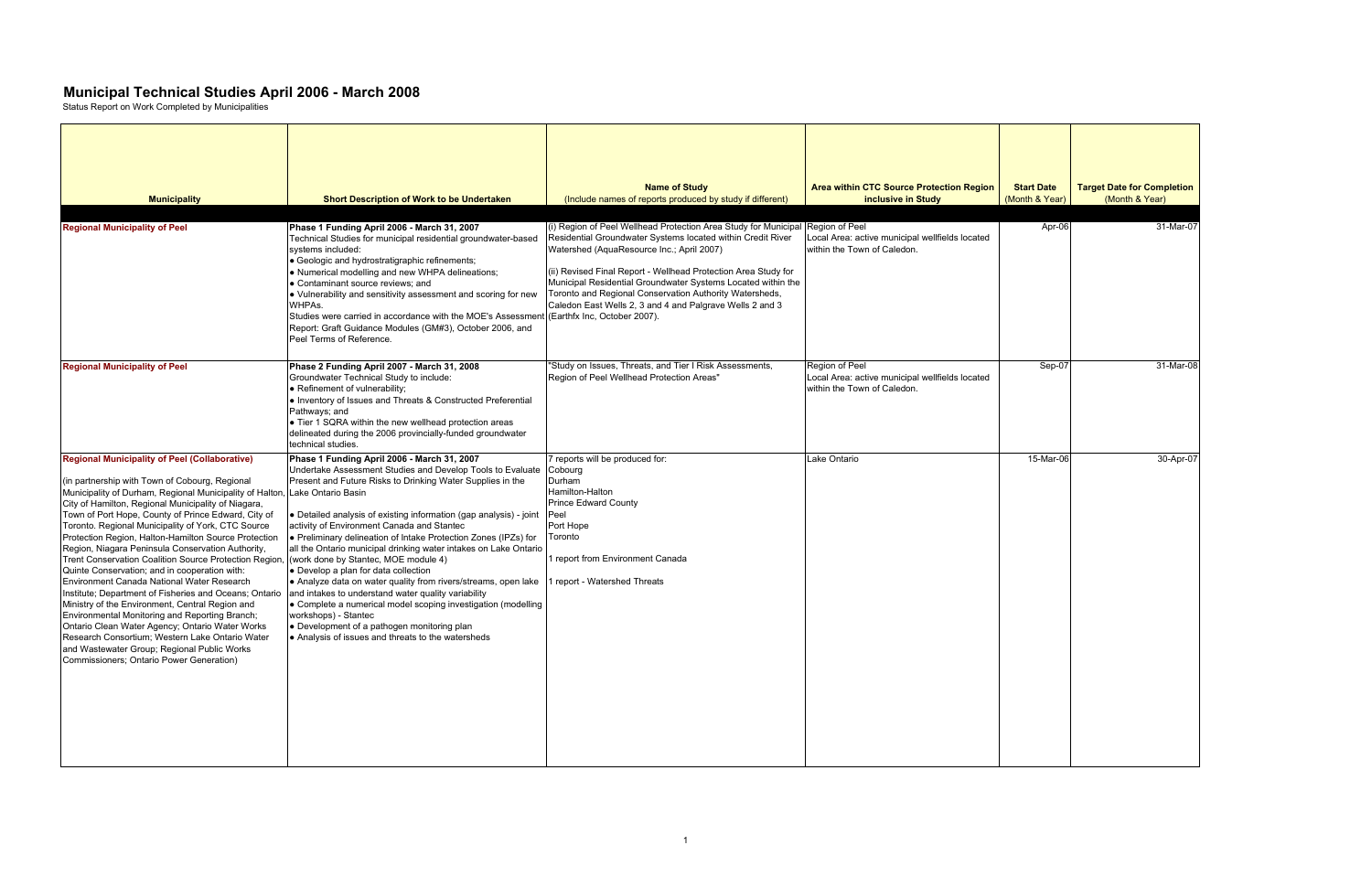| <b>Start Date</b><br>(Month & Year) | <b>Target Date for Completion</b><br>(Month & Year) |
|-------------------------------------|-----------------------------------------------------|
| Apr-06                              | 31-Mar-07                                           |
| Sep-07                              | 31-Mar-08                                           |
| 15-Mar-06                           | 30-Apr-07                                           |

| <b>Municipality</b>                                                                                                                                                                                                                                                                                                                                                                                                                                                                                                                                                                                                                                                                                                                                                                                                                                                                                                                                                          | <b>Short Description of Work to be Undertaken</b>                                                                                                                                                                                                                                                                                                                                                                                                                                                                                                                                                                                                                                                                                                                                                                                                             | <b>Name of Study</b><br>(Include names of reports produced by study if different)                                                                                                                                                                                                                                                                                                                                                                                                   | <b>Area within CTC Source Protection Region</b><br>inclusive in Study                            | <b>Start Date</b><br>(Month & Year) | <b>Target Date for Completion</b><br>(Month & Year) |
|------------------------------------------------------------------------------------------------------------------------------------------------------------------------------------------------------------------------------------------------------------------------------------------------------------------------------------------------------------------------------------------------------------------------------------------------------------------------------------------------------------------------------------------------------------------------------------------------------------------------------------------------------------------------------------------------------------------------------------------------------------------------------------------------------------------------------------------------------------------------------------------------------------------------------------------------------------------------------|---------------------------------------------------------------------------------------------------------------------------------------------------------------------------------------------------------------------------------------------------------------------------------------------------------------------------------------------------------------------------------------------------------------------------------------------------------------------------------------------------------------------------------------------------------------------------------------------------------------------------------------------------------------------------------------------------------------------------------------------------------------------------------------------------------------------------------------------------------------|-------------------------------------------------------------------------------------------------------------------------------------------------------------------------------------------------------------------------------------------------------------------------------------------------------------------------------------------------------------------------------------------------------------------------------------------------------------------------------------|--------------------------------------------------------------------------------------------------|-------------------------------------|-----------------------------------------------------|
| <b>Regional Municipality of Peel</b>                                                                                                                                                                                                                                                                                                                                                                                                                                                                                                                                                                                                                                                                                                                                                                                                                                                                                                                                         | Phase 1 Funding April 2006 - March 31, 2007<br>Technical Studies for municipal residential groundwater-based<br>systems included:<br>Geologic and hydrostratigraphic refinements;<br>. Numerical modelling and new WHPA delineations;<br>• Contaminant source reviews: and<br>• Vulnerability and sensitivity assessment and scoring for new<br>WHPAs.<br>Studies were carried in accordance with the MOE's Assessment<br>Report: Graft Guidance Modules (GM#3), October 2006, and<br>Peel Terms of Reference.                                                                                                                                                                                                                                                                                                                                                | (i) Region of Peel Wellhead Protection Area Study for Municipal Region of Peel<br>Residential Groundwater Systems located within Credit River<br>Watershed (AquaResource Inc.; April 2007)<br>(ii) Revised Final Report - Wellhead Protection Area Study for<br>Municipal Residential Groundwater Systems Located within the<br>Toronto and Regional Conservation Authority Watersheds,<br>Caledon East Wells 2, 3 and 4 and Palgrave Wells 2 and 3<br>(Earthfx Inc, October 2007). | Local Area: active municipal wellfields located<br>within the Town of Caledon.                   | Apr-06                              | 31-Mar-07                                           |
| <b>Regional Municipality of Peel</b>                                                                                                                                                                                                                                                                                                                                                                                                                                                                                                                                                                                                                                                                                                                                                                                                                                                                                                                                         | Phase 2 Funding April 2007 - March 31, 2008<br>Groundwater Technical Study to include:<br>• Refinement of vulnerability;<br>• Inventory of Issues and Threats & Constructed Preferential<br>Pathways; and<br>• Tier 1 SQRA within the new wellhead protection areas<br>delineated during the 2006 provincially-funded groundwater<br>technical studies.                                                                                                                                                                                                                                                                                                                                                                                                                                                                                                       | "Study on Issues, Threats, and Tier I Risk Assessments,<br>Region of Peel Wellhead Protection Areas"                                                                                                                                                                                                                                                                                                                                                                                | Region of Peel<br>Local Area: active municipal wellfields located<br>within the Town of Caledon. | Sep-07                              | 31-Mar-08                                           |
| <b>Regional Municipality of Peel (Collaborative)</b><br>(in partnership with Town of Cobourg, Regional<br>Municipality of Durham, Regional Municipality of Halton,<br>City of Hamilton, Regional Municipality of Niagara,<br>Town of Port Hope, County of Prince Edward, City of<br>Toronto. Regional Municipality of York, CTC Source<br>Protection Region, Halton-Hamilton Source Protection<br>Region, Niagara Peninsula Conservation Authority,<br>Trent Conservation Coalition Source Protection Region,<br>Quinte Conservation; and in cooperation with:<br>Environment Canada National Water Research<br>Institute: Department of Fisheries and Oceans: Ontario<br>Ministry of the Environment, Central Region and<br>Environmental Monitoring and Reporting Branch;<br>Ontario Clean Water Agency; Ontario Water Works<br>Research Consortium; Western Lake Ontario Water<br>and Wastewater Group; Regional Public Works<br>Commissioners; Ontario Power Generation) | Phase 1 Funding April 2006 - March 31, 2007<br>Undertake Assessment Studies and Develop Tools to Evaluate<br>Present and Future Risks to Drinking Water Supplies in the<br>Lake Ontario Basin<br>• Detailed analysis of existing information (gap analysis) - joint<br>activity of Environment Canada and Stantec<br>• Preliminary delineation of Intake Protection Zones (IPZs) for<br>all the Ontario municipal drinking water intakes on Lake Ontario<br>(work done by Stantec, MOE module 4)<br>• Develop a plan for data collection<br>• Analyze data on water quality from rivers/streams, open lake<br>and intakes to understand water quality variability<br>• Complete a numerical model scoping investigation (modelling<br>workshops) - Stantec<br>• Development of a pathogen monitoring plan<br>Analysis of issues and threats to the watersheds | reports will be produced for:<br>Cobourg<br>Durham<br>Hamilton-Halton<br><b>Prince Edward County</b><br>Peel<br>Port Hope<br>Toronto<br>I report from Environment Canada<br>report - Watershed Threats                                                                                                                                                                                                                                                                              | Lake Ontario                                                                                     | 15-Mar-06                           | 30-Apr-07                                           |

## **Municipal Technical Studies April 2006 - March 2008**

Status Report on Work Completed by Municipalities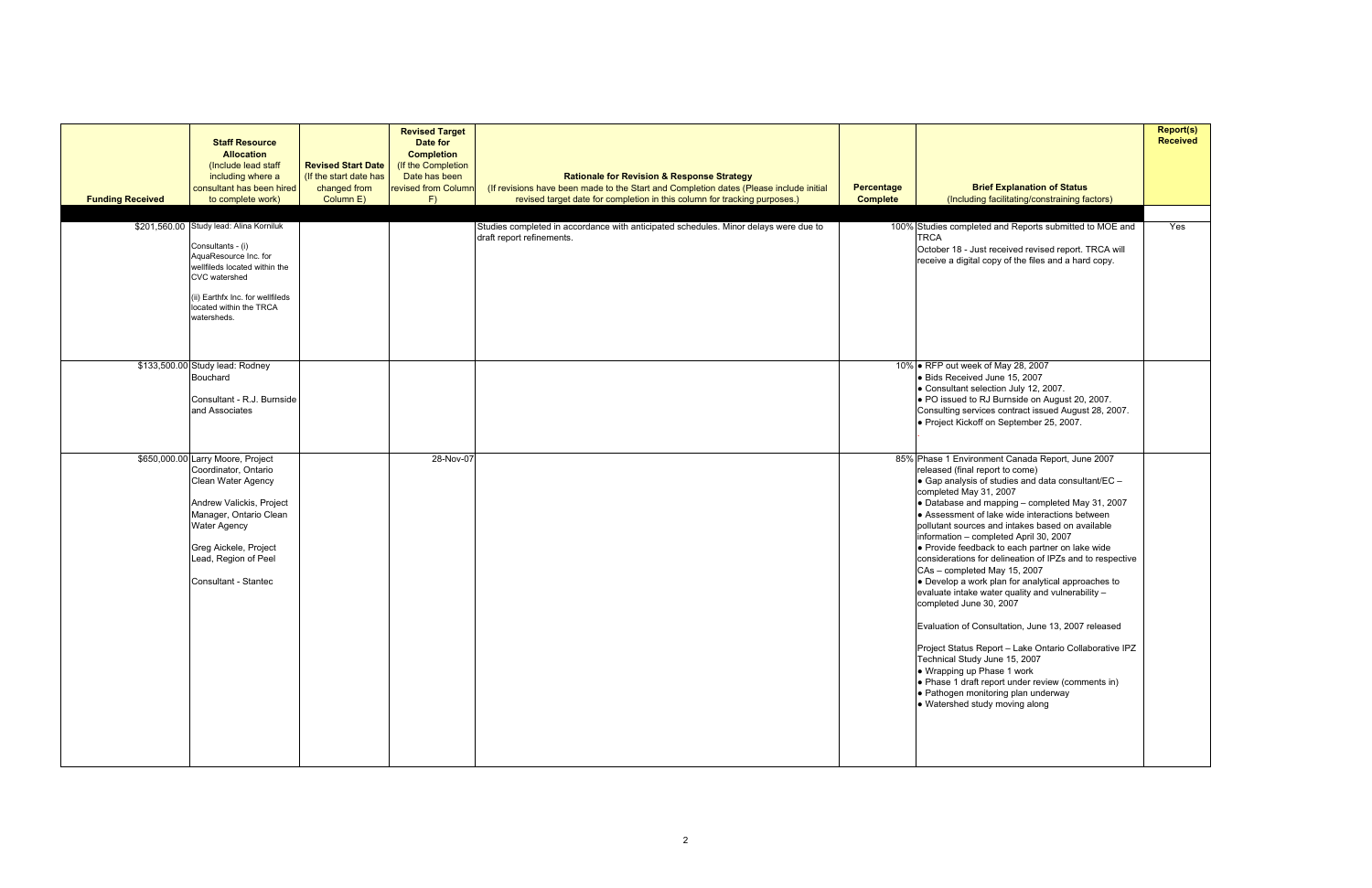| <b>Funding Received</b> | <b>Staff Resource</b><br><b>Allocation</b><br>(Include lead staff<br>including where a<br>consultant has been hired<br>to complete work)                                                                                              | <b>Revised Start Date</b><br>(If the start date has<br>changed from<br>Column E) | <b>Revised Target</b><br>Date for<br><b>Completion</b><br>(If the Completion<br>Date has been<br>revised from Column<br>F) | <b>Rationale for Revision &amp; Response Strategy</b><br>(If revisions have been made to the Start and Completion dates (Please include initial<br>revised target date for completion in this column for tracking purposes.) | <b>Percentage</b><br><b>Complete</b> | <b>Brief Explanation of Status</b><br>(Including facilitating/constraining factors)                                                                                                                                                                                                                                                                                                                                                                                                                                                                                                                                                                                                                                                                                                                                                                                                                                                                                      | <b>Report(s)</b><br><b>Received</b> |
|-------------------------|---------------------------------------------------------------------------------------------------------------------------------------------------------------------------------------------------------------------------------------|----------------------------------------------------------------------------------|----------------------------------------------------------------------------------------------------------------------------|------------------------------------------------------------------------------------------------------------------------------------------------------------------------------------------------------------------------------|--------------------------------------|--------------------------------------------------------------------------------------------------------------------------------------------------------------------------------------------------------------------------------------------------------------------------------------------------------------------------------------------------------------------------------------------------------------------------------------------------------------------------------------------------------------------------------------------------------------------------------------------------------------------------------------------------------------------------------------------------------------------------------------------------------------------------------------------------------------------------------------------------------------------------------------------------------------------------------------------------------------------------|-------------------------------------|
|                         | \$201,560.00 Study lead: Alina Korniluk<br>Consultants - (i)<br>AquaResource Inc. for<br>wellfileds located within the<br>CVC watershed<br>(ii) Earthfx Inc. for wellfileds<br>located within the TRCA<br>watersheds.                 |                                                                                  |                                                                                                                            | Studies completed in accordance with anticipated schedules. Minor delays were due to<br>draft report refinements.                                                                                                            |                                      | 100% Studies completed and Reports submitted to MOE and<br><b>TRCA</b><br>October 18 - Just received revised report. TRCA will<br>receive a digital copy of the files and a hard copy.                                                                                                                                                                                                                                                                                                                                                                                                                                                                                                                                                                                                                                                                                                                                                                                   | Yes                                 |
|                         | \$133,500.00 Study lead: Rodney<br>Bouchard<br>Consultant - R.J. Burnside<br>and Associates                                                                                                                                           |                                                                                  |                                                                                                                            |                                                                                                                                                                                                                              |                                      | 10% • RFP out week of May 28, 2007<br>· Bids Received June 15, 2007<br>• Consultant selection July 12, 2007.<br>. PO issued to RJ Burnside on August 20, 2007.<br>Consulting services contract issued August 28, 2007.<br>· Project Kickoff on September 25, 2007.                                                                                                                                                                                                                                                                                                                                                                                                                                                                                                                                                                                                                                                                                                       |                                     |
|                         | \$650,000.00 Larry Moore, Project<br>Coordinator, Ontario<br>Clean Water Agency<br>Andrew Valickis, Project<br>Manager, Ontario Clean<br><b>Water Agency</b><br>Greg Aickele, Project<br>Lead, Region of Peel<br>Consultant - Stantec |                                                                                  | 28-Nov-07                                                                                                                  |                                                                                                                                                                                                                              |                                      | 85% Phase 1 Environment Canada Report, June 2007<br>released (final report to come)<br>• Gap analysis of studies and data consultant/EC -<br>completed May 31, 2007<br>• Database and mapping - completed May 31, 2007<br>• Assessment of lake wide interactions between<br>pollutant sources and intakes based on available<br>information - completed April 30, 2007<br>• Provide feedback to each partner on lake wide<br>considerations for delineation of IPZs and to respective<br>CAs - completed May 15, 2007<br>• Develop a work plan for analytical approaches to<br>evaluate intake water quality and vulnerability -<br>completed June 30, 2007<br>Evaluation of Consultation, June 13, 2007 released<br>Project Status Report - Lake Ontario Collaborative IPZ<br>Technical Study June 15, 2007<br>• Wrapping up Phase 1 work<br>• Phase 1 draft report under review (comments in)<br>• Pathogen monitoring plan underway<br>• Watershed study moving along |                                     |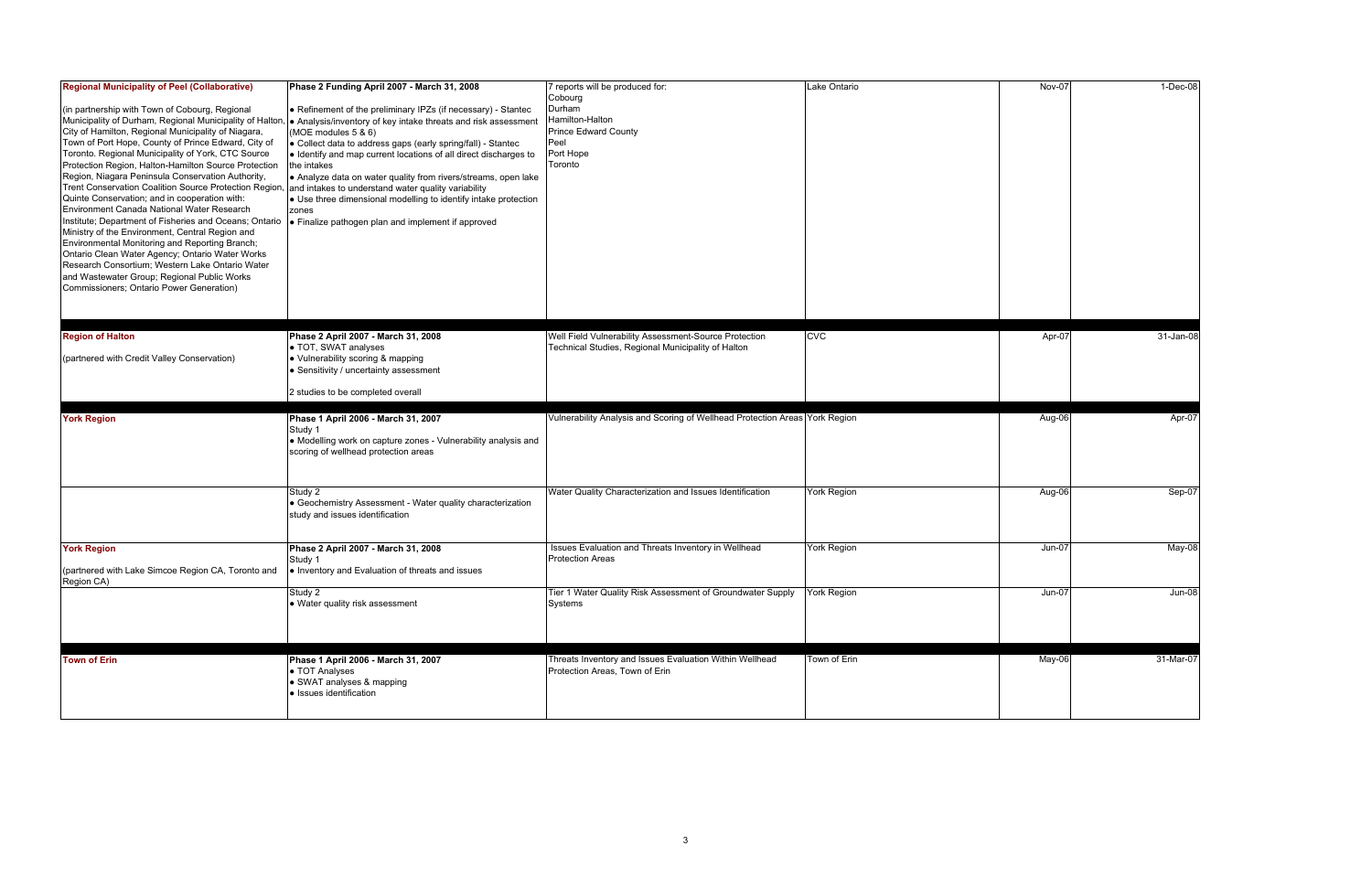| <b>Regional Municipality of Peel (Collaborative)</b><br>(in partnership with Town of Cobourg, Regional<br>Municipality of Durham, Regional Municipality of Halton,<br>City of Hamilton, Regional Municipality of Niagara,<br>Town of Port Hope, County of Prince Edward, City of<br>Toronto. Regional Municipality of York, CTC Source<br>Protection Region, Halton-Hamilton Source Protection<br>Region, Niagara Peninsula Conservation Authority,<br>Trent Conservation Coalition Source Protection Region, and intakes to understand water quality variability<br>Quinte Conservation; and in cooperation with:<br>Environment Canada National Water Research<br>Institute; Department of Fisheries and Oceans; Ontario<br>Ministry of the Environment, Central Region and<br>Environmental Monitoring and Reporting Branch;<br>Ontario Clean Water Agency; Ontario Water Works<br>Research Consortium; Western Lake Ontario Water<br>and Wastewater Group; Regional Public Works<br>Commissioners; Ontario Power Generation) | Phase 2 Funding April 2007 - March 31, 2008<br>• Refinement of the preliminary IPZs (if necessary) - Stantec<br>Analysis/inventory of key intake threats and risk assessment<br>(MOE modules 5 & 6)<br>• Collect data to address gaps (early spring/fall) - Stantec<br>↓ Identify and map current locations of all direct discharges to<br>the intakes<br>Analyze data on water quality from rivers/streams, open lake<br>● Use three dimensional modelling to identify intake protection<br>zones<br>Finalize pathogen plan and implement if approved | 7 reports will be produced for:<br>Cobourg<br>Durham<br>Hamilton-Halton<br><b>Prince Edward County</b><br>Peel<br>Port Hope<br>Toronto | Lake Ontario       | Nov-07   | 1-Dec-08      |
|----------------------------------------------------------------------------------------------------------------------------------------------------------------------------------------------------------------------------------------------------------------------------------------------------------------------------------------------------------------------------------------------------------------------------------------------------------------------------------------------------------------------------------------------------------------------------------------------------------------------------------------------------------------------------------------------------------------------------------------------------------------------------------------------------------------------------------------------------------------------------------------------------------------------------------------------------------------------------------------------------------------------------------|--------------------------------------------------------------------------------------------------------------------------------------------------------------------------------------------------------------------------------------------------------------------------------------------------------------------------------------------------------------------------------------------------------------------------------------------------------------------------------------------------------------------------------------------------------|----------------------------------------------------------------------------------------------------------------------------------------|--------------------|----------|---------------|
| <b>Region of Halton</b><br>(partnered with Credit Valley Conservation)                                                                                                                                                                                                                                                                                                                                                                                                                                                                                                                                                                                                                                                                                                                                                                                                                                                                                                                                                           | Phase 2 April 2007 - March 31, 2008<br>• TOT, SWAT analyses<br>• Vulnerability scoring & mapping<br>• Sensitivity / uncertainty assessment                                                                                                                                                                                                                                                                                                                                                                                                             | Well Field Vulnerability Assessment-Source Protection<br>Technical Studies, Regional Municipality of Halton                            | <b>CVC</b>         | Apr-07   | 31-Jan-08     |
|                                                                                                                                                                                                                                                                                                                                                                                                                                                                                                                                                                                                                                                                                                                                                                                                                                                                                                                                                                                                                                  | 2 studies to be completed overall                                                                                                                                                                                                                                                                                                                                                                                                                                                                                                                      |                                                                                                                                        |                    |          |               |
| <b>York Region</b>                                                                                                                                                                                                                                                                                                                                                                                                                                                                                                                                                                                                                                                                                                                                                                                                                                                                                                                                                                                                               | Phase 1 April 2006 - March 31, 2007<br>Study 1<br>• Modelling work on capture zones - Vulnerability analysis and<br>scoring of wellhead protection areas                                                                                                                                                                                                                                                                                                                                                                                               | Vulnerability Analysis and Scoring of Wellhead Protection Areas York Region                                                            |                    | Aug-06   | Apr-07        |
|                                                                                                                                                                                                                                                                                                                                                                                                                                                                                                                                                                                                                                                                                                                                                                                                                                                                                                                                                                                                                                  | Study 2<br>Geochemistry Assessment - Water quality characterization<br>study and issues identification                                                                                                                                                                                                                                                                                                                                                                                                                                                 | Water Quality Characterization and Issues Identification                                                                               | <b>York Region</b> | Aug-06   | Sep-07        |
| <b>York Region</b><br>(partnered with Lake Simcoe Region CA, Toronto and                                                                                                                                                                                                                                                                                                                                                                                                                                                                                                                                                                                                                                                                                                                                                                                                                                                                                                                                                         | Phase 2 April 2007 - March 31, 2008<br>Study 1<br>• Inventory and Evaluation of threats and issues                                                                                                                                                                                                                                                                                                                                                                                                                                                     | Issues Evaluation and Threats Inventory in Wellhead<br><b>Protection Areas</b>                                                         | <b>York Region</b> | Jun-07   | May-08        |
| Region CA)                                                                                                                                                                                                                                                                                                                                                                                                                                                                                                                                                                                                                                                                                                                                                                                                                                                                                                                                                                                                                       | Study 2<br>• Water quality risk assessment                                                                                                                                                                                                                                                                                                                                                                                                                                                                                                             | Tier 1 Water Quality Risk Assessment of Groundwater Supply<br>Systems                                                                  | <b>York Region</b> | $Jun-07$ | <b>Jun-08</b> |
| <b>Town of Erin</b>                                                                                                                                                                                                                                                                                                                                                                                                                                                                                                                                                                                                                                                                                                                                                                                                                                                                                                                                                                                                              | Phase 1 April 2006 - March 31, 2007<br>• TOT Analyses<br>• SWAT analyses & mapping<br>· Issues identification                                                                                                                                                                                                                                                                                                                                                                                                                                          | Threats Inventory and Issues Evaluation Within Wellhead<br>Protection Areas, Town of Erin                                              | Town of Erin       | May-06   | 31-Mar-07     |

| Nov-07   | $1-Dec-08$ |
|----------|------------|
| Apr-07   | 31-Jan-08  |
|          | Apr-07     |
| Aug-06   |            |
|          |            |
| Aug-06   | Sep-07     |
| $Jun-07$ | May-08     |
| $Jun-07$ | $Jun-08$   |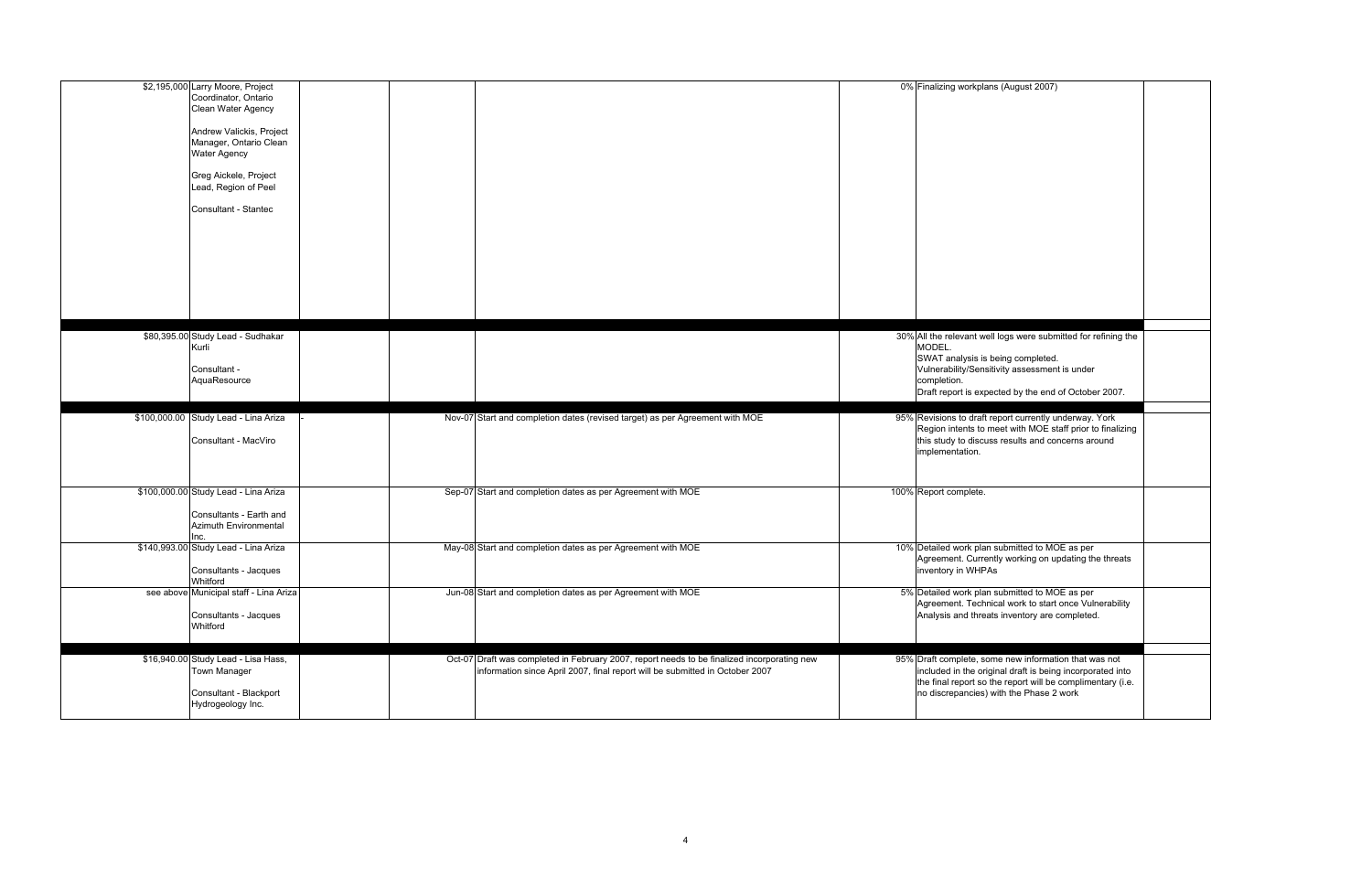| \$2,195,000 Larry Moore, Project<br>Coordinator, Ontario<br>Clean Water Agency<br>Andrew Valickis, Project<br>Manager, Ontario Clean<br><b>Water Agency</b><br>Greg Aickele, Project<br>Lead, Region of Peel<br>Consultant - Stantec |                                                             |                                                                                                                                                                             | 0% Finalizing workplans (August 2007)                                                                                                                                                                                          |
|--------------------------------------------------------------------------------------------------------------------------------------------------------------------------------------------------------------------------------------|-------------------------------------------------------------|-----------------------------------------------------------------------------------------------------------------------------------------------------------------------------|--------------------------------------------------------------------------------------------------------------------------------------------------------------------------------------------------------------------------------|
| \$80,395.00 Study Lead - Sudhakar<br>Kurli<br>Consultant -<br>AquaResource                                                                                                                                                           |                                                             |                                                                                                                                                                             | 30% All the relevant well logs were submitted for refinin<br>MODEL.<br>SWAT analysis is being completed.<br>Vulnerability/Sensitivity assessment is under<br>completion.<br>Draft report is expected by the end of October 200 |
| \$100,000.00 Study Lead - Lina Ariza<br>Consultant - MacViro                                                                                                                                                                         |                                                             | Nov-07 Start and completion dates (revised target) as per Agreement with MOE                                                                                                | 95% Revisions to draft report currently underway. York<br>Region intents to meet with MOE staff prior to fina<br>this study to discuss results and concerns around<br>implementation.                                          |
| \$100,000.00 Study Lead - Lina Ariza<br>Consultants - Earth and<br>Azimuth Environmental<br>Inc.                                                                                                                                     | Sep-07 Start and completion dates as per Agreement with MOE |                                                                                                                                                                             | 100% Report complete.                                                                                                                                                                                                          |
| \$140,993.00 Study Lead - Lina Ariza<br>Consultants - Jacques<br>Whitford                                                                                                                                                            | May-08 Start and completion dates as per Agreement with MOE |                                                                                                                                                                             | 10% Detailed work plan submitted to MOE as per<br>Agreement. Currently working on updating the thre<br>inventory in WHPAs                                                                                                      |
| see above Municipal staff - Lina Ariza<br>Consultants - Jacques<br>Whitford                                                                                                                                                          | Jun-08 Start and completion dates as per Agreement with MOE |                                                                                                                                                                             | 5% Detailed work plan submitted to MOE as per<br>Agreement. Technical work to start once Vulnerab<br>Analysis and threats inventory are completed.                                                                             |
| \$16,940.00 Study Lead - Lisa Hass,<br>Town Manager<br>Consultant - Blackport<br>Hydrogeology Inc.                                                                                                                                   |                                                             | Oct-07 Draft was completed in February 2007, report needs to be finalized incorporating new<br>information since April 2007, final report will be submitted in October 2007 | 95% Draft complete, some new information that was no<br>included in the original draft is being incorporated<br>the final report so the report will be complimentary<br>no discrepancies) with the Phase 2 work                |

| 0% Finalizing workplans (August 2007)                                                                                                                                                                                                 |  |
|---------------------------------------------------------------------------------------------------------------------------------------------------------------------------------------------------------------------------------------|--|
| 30% All the relevant well logs were submitted for refining the<br>MODEL.<br>SWAT analysis is being completed.<br>Vulnerability/Sensitivity assessment is under<br>completion.<br>Draft report is expected by the end of October 2007. |  |
| 95% Revisions to draft report currently underway. York<br>Region intents to meet with MOE staff prior to finalizing<br>this study to discuss results and concerns around<br>implementation.                                           |  |
| 00% Report complete.                                                                                                                                                                                                                  |  |
| 10% Detailed work plan submitted to MOE as per<br>Agreement. Currently working on updating the threats<br>inventory in WHPAs                                                                                                          |  |
| 5% Detailed work plan submitted to MOE as per<br>Agreement. Technical work to start once Vulnerability<br>Analysis and threats inventory are completed.                                                                               |  |
| 95% Draft complete, some new information that was not<br>included in the original draft is being incorporated into<br>the final report so the report will be complimentary (i.e.<br>no discrepancies) with the Phase 2 work           |  |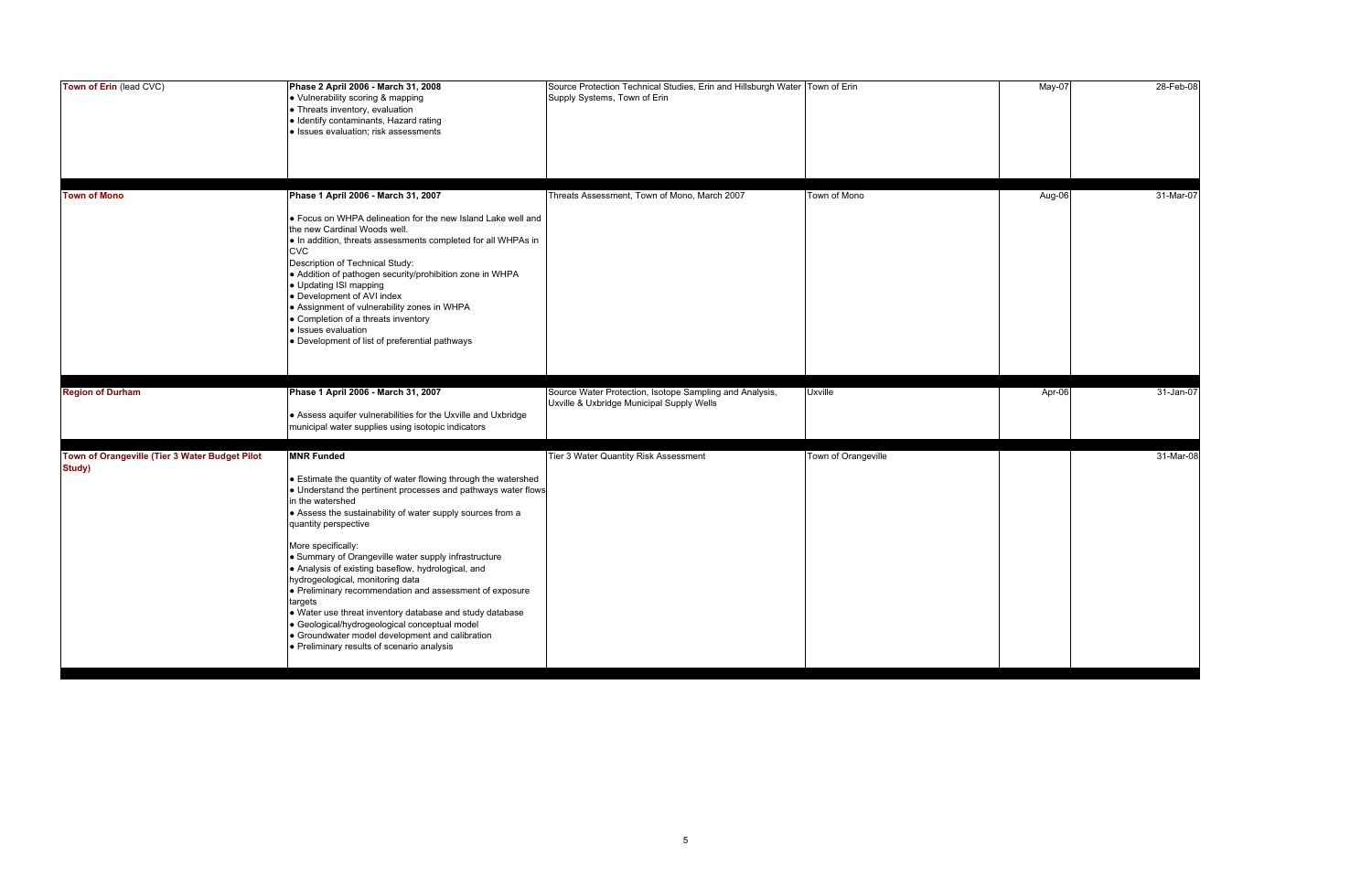| Town of Erin (lead CVC)                                  | Phase 2 April 2006 - March 31, 2008<br>• Vulnerability scoring & mapping<br>• Threats inventory, evaluation<br>· Identify contaminants, Hazard rating<br>· Issues evaluation; risk assessments                                                                                                                                                                                                                                                                                                                                                                                                                                                                                                                             | Source Protection Technical Studies, Erin and Hillsburgh Water Town of Erin<br>Supply Systems, Town of Erin |                     | May-07 | 28-Feb-08 |
|----------------------------------------------------------|----------------------------------------------------------------------------------------------------------------------------------------------------------------------------------------------------------------------------------------------------------------------------------------------------------------------------------------------------------------------------------------------------------------------------------------------------------------------------------------------------------------------------------------------------------------------------------------------------------------------------------------------------------------------------------------------------------------------------|-------------------------------------------------------------------------------------------------------------|---------------------|--------|-----------|
| <b>Town of Mono</b>                                      | Phase 1 April 2006 - March 31, 2007<br>. Focus on WHPA delineation for the new Island Lake well and<br>the new Cardinal Woods well.<br>. In addition, threats assessments completed for all WHPAs in<br><b>CVC</b><br>Description of Technical Study:<br>• Addition of pathogen security/prohibition zone in WHPA<br>• Updating ISI mapping<br>• Development of AVI index<br>• Assignment of vulnerability zones in WHPA<br>• Completion of a threats inventory<br>• Issues evaluation<br>• Development of list of preferential pathways                                                                                                                                                                                   | Threats Assessment, Town of Mono, March 2007                                                                | Town of Mono        | Aug-06 | 31-Mar-07 |
| <b>Region of Durham</b>                                  | Phase 1 April 2006 - March 31, 2007<br>• Assess aquifer vulnerabilities for the Uxville and Uxbridge<br>municipal water supplies using isotopic indicators                                                                                                                                                                                                                                                                                                                                                                                                                                                                                                                                                                 | Source Water Protection, Isotope Sampling and Analysis,<br>Uxville & Uxbridge Municipal Supply Wells        | <b>Uxville</b>      | Apr-06 | 31-Jan-07 |
| Town of Orangeville (Tier 3 Water Budget Pilot<br>Study) | <b>MNR Funded</b><br>• Estimate the quantity of water flowing through the watershed<br>• Understand the pertinent processes and pathways water flows<br>in the watershed<br>• Assess the sustainability of water supply sources from a<br>quantity perspective<br>More specifically:<br>• Summary of Orangeville water supply infrastructure<br>• Analysis of existing baseflow, hydrological, and<br>hydrogeological, monitoring data<br>· Preliminary recommendation and assessment of exposure<br>targets<br>. Water use threat inventory database and study database<br>· Geological/hydrogeological conceptual model<br>• Groundwater model development and calibration<br>• Preliminary results of scenario analysis | Tier 3 Water Quantity Risk Assessment                                                                       | Town of Orangeville |        | 31-Mar-08 |

| May-07 | 28-Feb-08 |
|--------|-----------|
| Aug-06 | 31-Mar-07 |
| Apr-06 | 31-Jan-07 |
|        | 31-Mar-08 |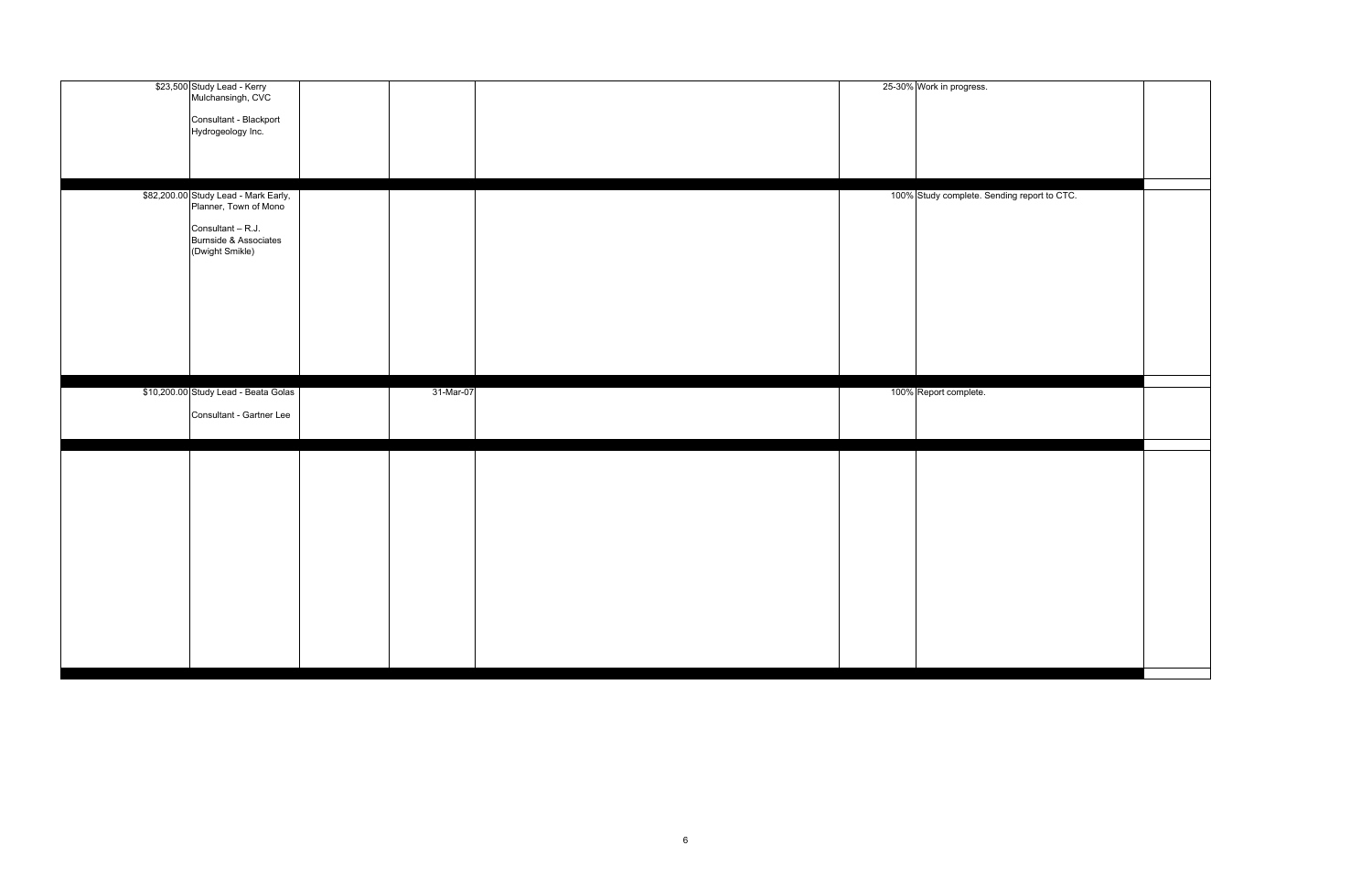| \$23,500 Study Lead - Kerry<br>Mulchansingh, CVC              |           |  | 25-30% Work in progress.                    |  |
|---------------------------------------------------------------|-----------|--|---------------------------------------------|--|
|                                                               |           |  |                                             |  |
|                                                               |           |  |                                             |  |
| Consultant - Blackport                                        |           |  |                                             |  |
| Hydrogeology Inc.                                             |           |  |                                             |  |
|                                                               |           |  |                                             |  |
|                                                               |           |  |                                             |  |
|                                                               |           |  |                                             |  |
|                                                               |           |  |                                             |  |
|                                                               |           |  |                                             |  |
|                                                               |           |  | 100% Study complete. Sending report to CTC. |  |
| \$82,200.00 Study Lead - Mark Early,<br>Planner, Town of Mono |           |  |                                             |  |
|                                                               |           |  |                                             |  |
|                                                               |           |  |                                             |  |
| Consultant - R.J.                                             |           |  |                                             |  |
| Burnside & Associates                                         |           |  |                                             |  |
| (Dwight Smikle)                                               |           |  |                                             |  |
|                                                               |           |  |                                             |  |
|                                                               |           |  |                                             |  |
|                                                               |           |  |                                             |  |
|                                                               |           |  |                                             |  |
|                                                               |           |  |                                             |  |
|                                                               |           |  |                                             |  |
|                                                               |           |  |                                             |  |
|                                                               |           |  |                                             |  |
|                                                               |           |  |                                             |  |
|                                                               |           |  |                                             |  |
|                                                               |           |  |                                             |  |
|                                                               |           |  |                                             |  |
|                                                               |           |  |                                             |  |
|                                                               |           |  |                                             |  |
| \$10,200.00 Study Lead - Beata Golas                          | 31-Mar-07 |  | 100% Report complete.                       |  |
|                                                               |           |  |                                             |  |
|                                                               |           |  |                                             |  |
| Consultant - Gartner Lee                                      |           |  |                                             |  |
|                                                               |           |  |                                             |  |
|                                                               |           |  |                                             |  |
|                                                               |           |  |                                             |  |
|                                                               |           |  |                                             |  |
|                                                               |           |  |                                             |  |
|                                                               |           |  |                                             |  |
|                                                               |           |  |                                             |  |
|                                                               |           |  |                                             |  |
|                                                               |           |  |                                             |  |
|                                                               |           |  |                                             |  |
|                                                               |           |  |                                             |  |
|                                                               |           |  |                                             |  |
|                                                               |           |  |                                             |  |
|                                                               |           |  |                                             |  |
|                                                               |           |  |                                             |  |
|                                                               |           |  |                                             |  |
|                                                               |           |  |                                             |  |
|                                                               |           |  |                                             |  |
|                                                               |           |  |                                             |  |
|                                                               |           |  |                                             |  |
|                                                               |           |  |                                             |  |
|                                                               |           |  |                                             |  |
|                                                               |           |  |                                             |  |
|                                                               |           |  |                                             |  |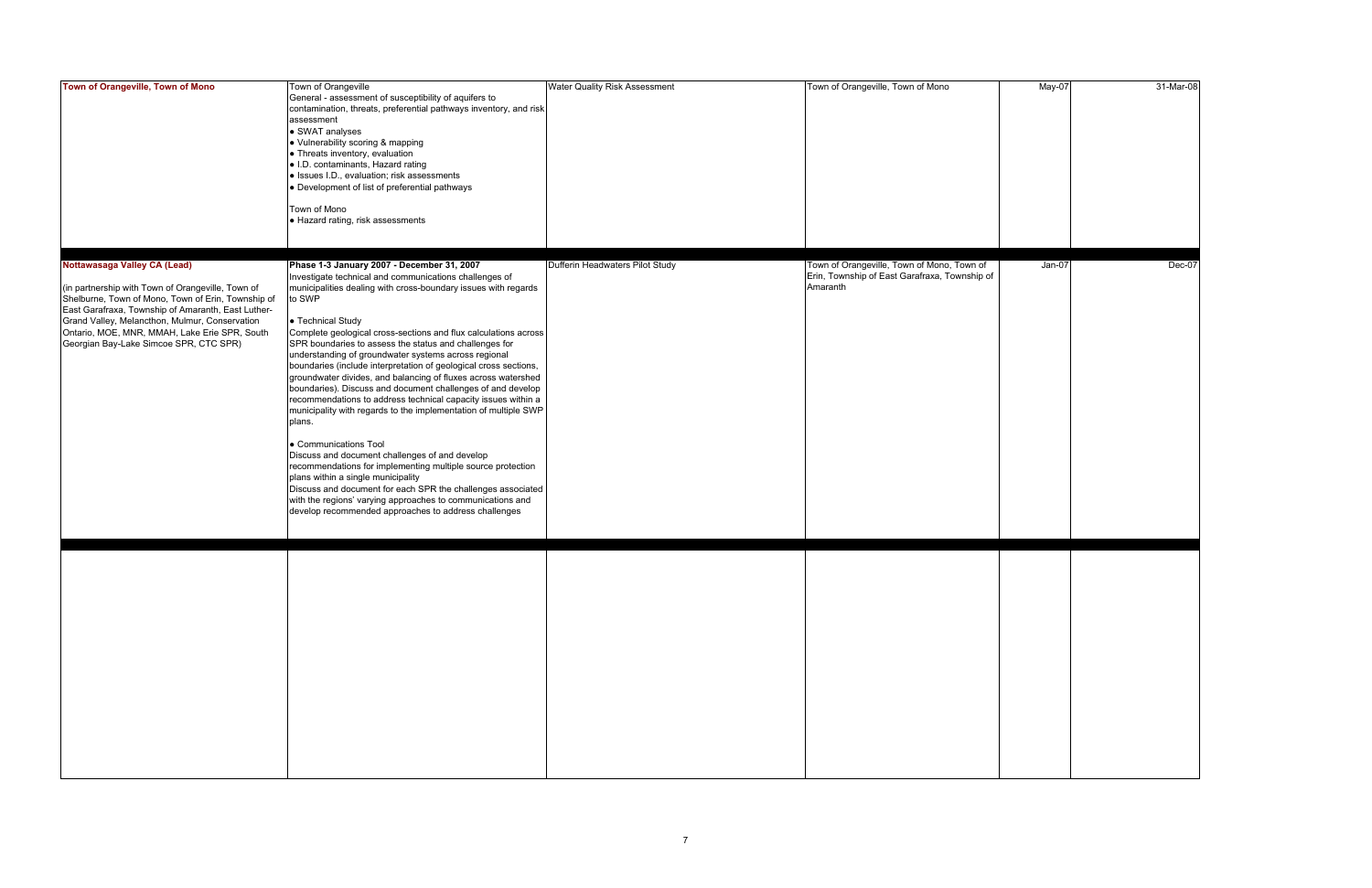| Town of Orangeville, Town of Mono                                                                                                                                                                                                                                                                                                          | Town of Orangeville<br>General - assessment of susceptibility of aquifers to<br>contamination, threats, preferential pathways inventory, and risk<br>assessment<br>• SWAT analyses<br>• Vulnerability scoring & mapping<br>• Threats inventory, evaluation<br>. I.D. contaminants, Hazard rating<br>· Issues I.D., evaluation; risk assessments<br>• Development of list of preferential pathways<br>Town of Mono<br>• Hazard rating, risk assessments                                                                                                                                                                                                                                                                                                                                                                                                                                                                                                                                                                                                                                                            | <b>Water Quality Risk Assessment</b> | Town of Orangeville, Town of Mono                                                                       | May-07   | 31-Mar-08 |
|--------------------------------------------------------------------------------------------------------------------------------------------------------------------------------------------------------------------------------------------------------------------------------------------------------------------------------------------|-------------------------------------------------------------------------------------------------------------------------------------------------------------------------------------------------------------------------------------------------------------------------------------------------------------------------------------------------------------------------------------------------------------------------------------------------------------------------------------------------------------------------------------------------------------------------------------------------------------------------------------------------------------------------------------------------------------------------------------------------------------------------------------------------------------------------------------------------------------------------------------------------------------------------------------------------------------------------------------------------------------------------------------------------------------------------------------------------------------------|--------------------------------------|---------------------------------------------------------------------------------------------------------|----------|-----------|
| Nottawasaga Valley CA (Lead)<br>(in partnership with Town of Orangeville, Town of<br>Shelburne, Town of Mono, Town of Erin, Township of<br>East Garafraxa, Township of Amaranth, East Luther-<br>Grand Valley, Melancthon, Mulmur, Conservation<br>Ontario, MOE, MNR, MMAH, Lake Erie SPR, South<br>Georgian Bay-Lake Simcoe SPR, CTC SPR) | Phase 1-3 January 2007 - December 31, 2007<br>Investigate technical and communications challenges of<br>municipalities dealing with cross-boundary issues with regards<br>to SWP<br>• Technical Study<br>Complete geological cross-sections and flux calculations across<br>SPR boundaries to assess the status and challenges for<br>understanding of groundwater systems across regional<br>boundaries (include interpretation of geological cross sections,<br>groundwater divides, and balancing of fluxes across watershed<br>boundaries). Discuss and document challenges of and develop<br>recommendations to address technical capacity issues within a<br>municipality with regards to the implementation of multiple SWP<br>plans.<br>• Communications Tool<br>Discuss and document challenges of and develop<br>recommendations for implementing multiple source protection<br>plans within a single municipality<br>Discuss and document for each SPR the challenges associated<br>with the regions' varying approaches to communications and<br>develop recommended approaches to address challenges | Dufferin Headwaters Pilot Study      | Town of Orangeville, Town of Mono, Town of<br>Erin, Township of East Garafraxa, Township of<br>Amaranth | $Jan-07$ | Dec-07    |
|                                                                                                                                                                                                                                                                                                                                            |                                                                                                                                                                                                                                                                                                                                                                                                                                                                                                                                                                                                                                                                                                                                                                                                                                                                                                                                                                                                                                                                                                                   |                                      |                                                                                                         |          |           |

| May-07 | 31-Mar-08 |
|--------|-----------|
|        |           |
|        |           |
|        |           |
|        |           |
|        |           |
|        |           |
|        |           |
|        |           |
|        |           |
| Jan-07 | Dec-07    |
|        |           |
|        |           |
|        |           |
|        |           |
|        |           |
|        |           |
|        |           |
|        |           |
|        |           |
|        |           |
|        |           |
|        |           |
|        |           |
|        |           |
|        |           |
|        |           |
|        |           |
|        |           |
|        |           |
|        |           |
|        |           |
|        |           |
|        |           |
|        |           |
|        |           |
|        |           |
|        |           |
|        |           |
|        |           |